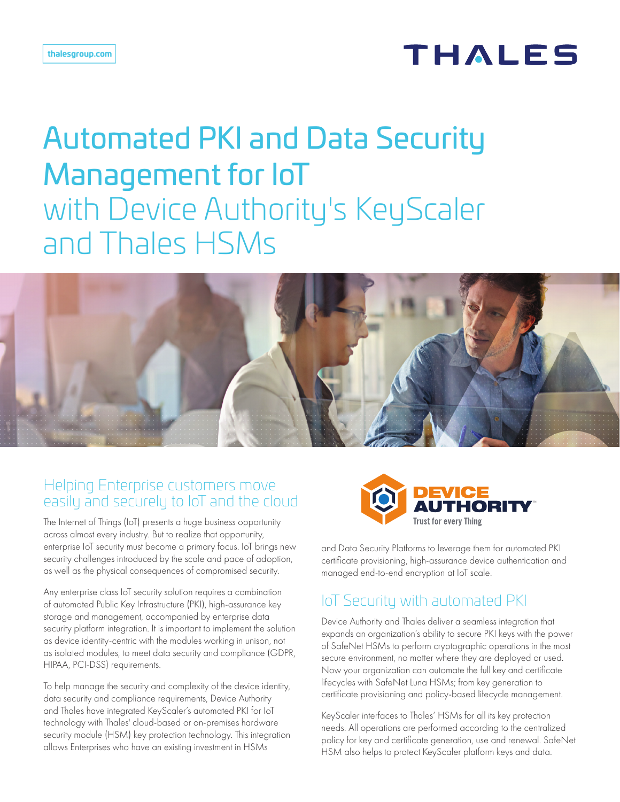# THALES

# Automated PKI and Data Security Management for IoT with Device Authority's KeyScaler and Thales HSMs



#### Helping Enterprise customers move easily and securely to IoT and the cloud

The Internet of Things (IoT) presents a huge business opportunity across almost every industry. But to realize that opportunity, enterprise IoT security must become a primary focus. IoT brings new security challenges introduced by the scale and pace of adoption, as well as the physical consequences of compromised security.

Any enterprise class IoT security solution requires a combination of automated Public Key Infrastructure (PKI), high-assurance key storage and management, accompanied by enterprise data security platform integration. It is important to implement the solution as device identity-centric with the modules working in unison, not as isolated modules, to meet data security and compliance (GDPR, HIPAA, PCI-DSS) requirements.

To help manage the security and complexity of the device identity, data security and compliance requirements, Device Authority and Thales have integrated KeyScaler's automated PKI for IoT technology with Thales' cloud-based or on-premises hardware security module (HSM) key protection technology. This integration allows Enterprises who have an existing investment in HSMs



and Data Security Platforms to leverage them for automated PKI certificate provisioning, high-assurance device authentication and managed end-to-end encryption at IoT scale.

# IoT Security with automated PKI

Device Authority and Thales deliver a seamless integration that expands an organization's ability to secure PKI keys with the power of SafeNet HSMs to perform cryptographic operations in the most secure environment, no matter where they are deployed or used. Now your organization can automate the full key and certificate lifecycles with SafeNet Luna HSMs; from key generation to certificate provisioning and policy-based lifecycle management.

KeyScaler interfaces to Thales' HSMs for all its key protection needs. All operations are performed according to the centralized policy for key and certificate generation, use and renewal. SafeNet HSM also helps to protect KeyScaler platform keys and data.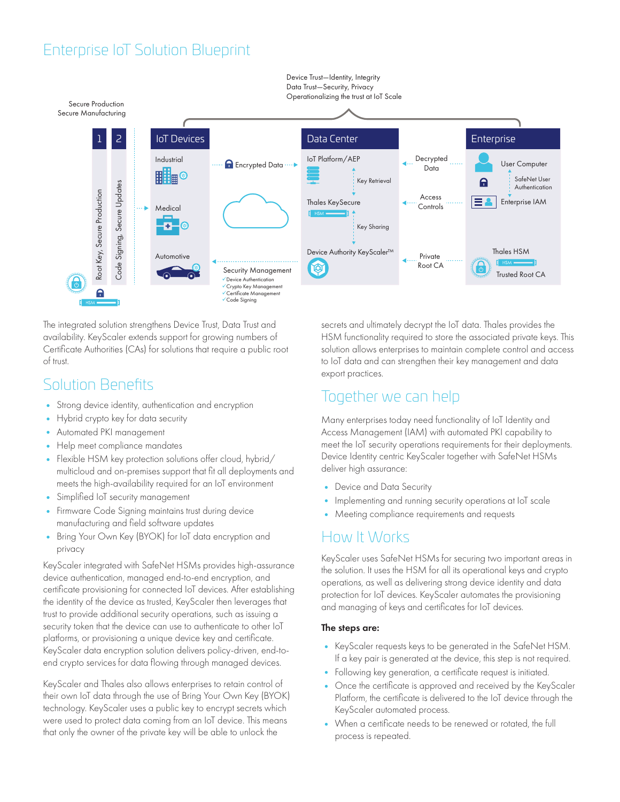### Enterprise IoT Solution Blueprint



The integrated solution strengthens Device Trust, Data Trust and availability. KeyScaler extends support for growing numbers of Certificate Authorities (CAs) for solutions that require a public root of trust.

### Solution Benefits

- Strong device identity, authentication and encryption
- Hybrid crypto key for data security
- Automated PKI management
- Help meet compliance mandates
- Flexible HSM key protection solutions offer cloud, hybrid/ multicloud and on-premises support that fit all deployments and meets the high-availability required for an IoT environment
- Simplified IoT security management
- Firmware Code Signing maintains trust during device manufacturing and field software updates
- Bring Your Own Key (BYOK) for IoT data encryption and privacy

KeyScaler integrated with SafeNet HSMs provides high-assurance device authentication, managed end-to-end encryption, and certificate provisioning for connected IoT devices. After establishing the identity of the device as trusted, KeyScaler then leverages that trust to provide additional security operations, such as issuing a security token that the device can use to authenticate to other IoT platforms, or provisioning a unique device key and certificate. KeyScaler data encryption solution delivers policy-driven, end-toend crypto services for data flowing through managed devices.

KeyScaler and Thales also allows enterprises to retain control of their own IoT data through the use of Bring Your Own Key (BYOK) technology. KeyScaler uses a public key to encrypt secrets which were used to protect data coming from an IoT device. This means that only the owner of the private key will be able to unlock the

secrets and ultimately decrypt the IoT data. Thales provides the HSM functionality required to store the associated private keys. This solution allows enterprises to maintain complete control and access to IoT data and can strengthen their key management and data export practices.

### Together we can help

Many enterprises today need functionality of IoT Identity and Access Management (IAM) with automated PKI capability to meet the IoT security operations requirements for their deployments. Device Identity centric KeyScaler together with SafeNet HSMs deliver high assurance:

- Device and Data Security
- Implementing and running security operations at IoT scale
- Meeting compliance requirements and requests

#### How It Works

KeyScaler uses SafeNet HSMs for securing two important areas in the solution. It uses the HSM for all its operational keys and crypto operations, as well as delivering strong device identity and data protection for IoT devices. KeyScaler automates the provisioning and managing of keys and certificates for IoT devices.

#### The steps are:

- KeyScaler requests keys to be generated in the SafeNet HSM. If a key pair is generated at the device, this step is not required.
- Following key generation, a certificate request is initiated.
- Once the certificate is approved and received by the KeyScaler Platform, the certificate is delivered to the IoT device through the KeyScaler automated process.
- When a certificate needs to be renewed or rotated, the full process is repeated.